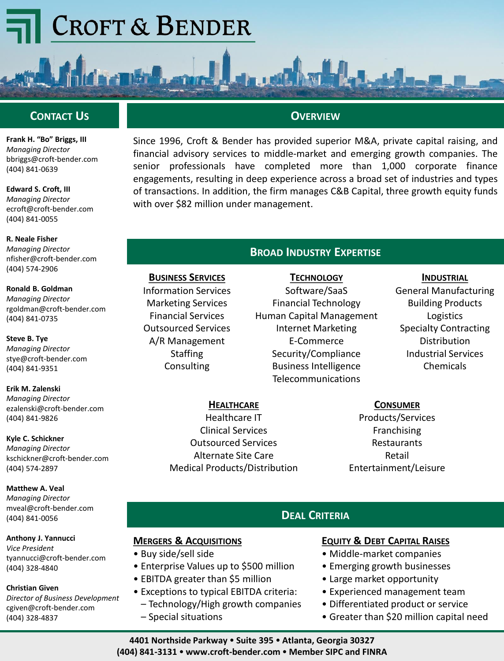# **CROFT & BENDER**



**Frank H. "Bo" Briggs, III** *Managing Director* bbriggs@croft-bender.com (404) 841-0639

**Edward S. Croft, III** *Managing Director* ecroft@croft-bender.com (404) 841-0055

**R. Neale Fisher** *Managing Director* nfisher@croft-bender.com (404) 574-2906

**Ronald B. Goldman** *Managing Director* rgoldman@croft-bender.com (404) 841-0735

**Steve B. Tye** *Managing Director* stye@croft-bender.com (404) 841-9351

**Erik M. Zalenski** *Managing Director* ezalenski@croft-bender.com (404) 841-9826

**Kyle C. Schickner** *Managing Director* kschickner@croft-bender.com (404) 574-2897

**Matthew A. Veal** *Managing Director* mveal@croft-bender.com (404) 841-0056

**Anthony J. Yannucci** *Vice President* tyannucci@croft-bender.com (404) 328-4840

#### **Christian Given**

*Director of Business Development* cgiven@croft-bender.com (404) 328-4837

# **OVERVIEW**

Since 1996, Croft & Bender has provided superior M&A, private capital raising, and financial advisory services to middle-market and emerging growth companies. The senior professionals have completed more than 1,000 corporate finance engagements, resulting in deep experience across a broad set of industries and types of transactions. In addition, the firm manages C&B Capital, three growth equity funds with over \$82 million under management.

## **BROAD INDUSTRY EXPERTISE**

**TECHNOLOGY** Software/SaaS Financial Technology Human Capital Management Internet Marketing E-Commerce Security/Compliance Business Intelligence Telecommunications

#### **INDUSTRIAL**

General Manufacturing Building Products Logistics Specialty Contracting Distribution Industrial Services Chemicals

**HEALTHCARE**

Healthcare IT Clinical Services Outsourced Services Alternate Site Care Medical Products/Distribution

**MERGERS & ACQUISITIONS**

**BUSINESS SERVICES** Information Services Marketing Services Financial Services Outsourced Services A/R Management **Staffing Consulting** 

• Enterprise Values up to \$500 million • EBITDA greater than \$5 million

• Exceptions to typical EBITDA criteria: – Technology/High growth companies

• Buy side/sell side

– Special situations

**CONSUMER**

Products/Services Franchising **Restaurants** Retail Entertainment/Leisure

# **DEAL CRITERIA**

### **EQUITY & DEBT CAPITAL RAISES**

- Middle-market companies
- Emerging growth businesses
- Large market opportunity
- Experienced management team
- Differentiated product or service
- Greater than \$20 million capital need

**4401 Northside Parkway Suite 395 Atlanta, Georgia 30327 (404) 841-3131 www.croft-bender.com Member SIPC and FINRA**